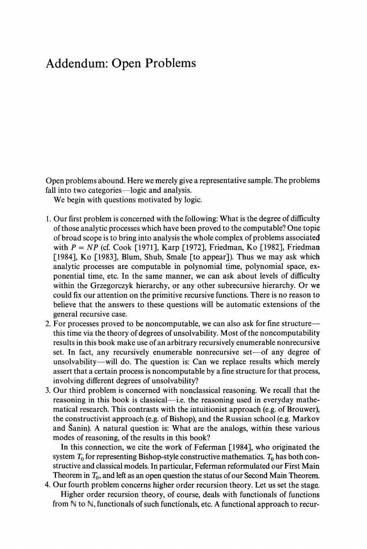## Addendum: Open Problems

Open problems abound. Here we merely give a representative sample. The problems fall into two categories—logic and analysis.

We begin with questions motivated by logic.

- 1. Our first problem is concerned with the following: What is the degree of difficulty of those analytic processes which have been proved to the computable? One topic of broad scope is to bring into analysis the whole complex of problems associated with  $P = NP$  (cf. Cook [1971], Karp [1972], Friedman, Ko [1982], Friedman [1984], Ko [1983], Blum, Shub, Smale [to appear]). Thus we may ask which analytic processes are computable in polynomial time, polynomial space,  $ex_{\uparrow}$ ponential time, etc. In the same manner, we can ask about levels of difficulty within the Grzegorczyk hierarchy, or any other subrecursive hierarchy. Or we could fix our attention on the primitive recursive functions. There is no reason to believe that the answers to these questions will be automatic extensions of the general recursive case.
- 2. For processes proved to be noncomputable, we can also ask for fine structure this time via the theory of degrees of unsolvability. Most of the noncomputability results in this book make use of an arbitrary recursively enumerable nonrecursive set. In fact, any recursively enumerable nonrecursive set—of any degree of unsolvability—will do. The question is: Can we replace results which merely assert that a certain process is noncomputable by a fine structure for that process, involving different degrees of unsolvability?
- 3. Our third problem is concerned with nonclassical reasoning. We recall that the reasoning in this book is classical—i.e. the reasoning used in everyday mathematical research. This contrasts with the intuitionist approach (e.g. of Brouwer), the constructivist approach (e.g. of Bishop), and the Russian school (e.g. Markov and Sanin). A natural question is: What are the analogs, within these various modes of reasoning, of the results in this book?

In this connection, we cite the work of Feferman [1984], who originated the system  $T_0$  for representing Bishop-style constructive mathematics.  $T_0$  has both constructive and classical models. In particular, Feferman reformulated our First Main Theorem in  $T_0$ , and left as an open question the status of our Second Main Theorem.

4. Our fourth problem concerns higher order recursion theory. Let us set the stage. Higher order recursion theory, of course, deals with functionals of functions from  $\mathbb N$  to  $\mathbb N$ , functionals of such functionals, etc. A functional approach to recur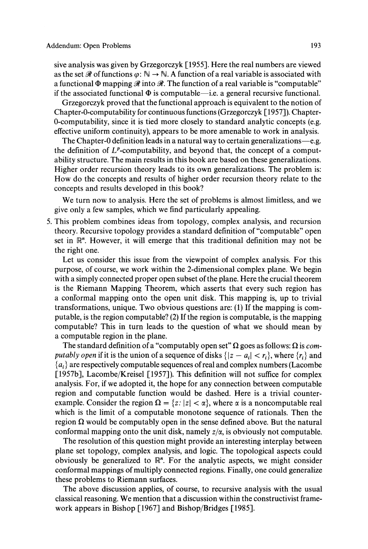sive analysis was given by Grzegorczyk [1955]. Here the real numbers are viewed as the set  $\mathcal R$  of functions  $\varphi: \mathbb N \to \mathbb N$ . A function of a real variable is associated with a functional Φ mapping *01* into *0ί.* The function of a real variable is "computable" if the associated functional  $\Phi$  is computable—i.e. a general recursive functional.

Grzegorczyk proved that the functional approach is equivalent to the notion of Chapter-O-computability for continuous functions (Grzegorczyk [1957]). Chapter O-computability, since it is tied more closely to standard analytic concepts (e.g. effective uniform continuity), appears to be more amenable to work in analysis.

The Chapter-0 definition leads in a natural way to certain generalizations—e.g. the definition of  $L^p$ -computability, and beyond that, the concept of a computability structure. The main results in this book are based on these generalizations. Higher order recursion theory leads to its own generalizations. The problem is: How do the concepts and results of higher order recursion theory relate to the concepts and results developed in this book?

We turn now to analysis. Here the set of problems is almost limitless, and we give only a few samples, which we find particularly appealing.

5. This problem combines ideas from topology, complex analysis, and recursion theory. Recursive topology provides a standard definition of "computable" open set in  $\mathbb{R}^n$ . However, it will emerge that this traditional definition may not be the right one.

Let us consider this issue from the viewpoint of complex analysis. For this purpose, of course, we work within the 2-dimensional complex plane. We begin with a simply connected proper open subset of the plane. Here the crucial theorem is the Riemann Mapping Theorem, which asserts that every such region has a conformal mapping onto the open unit disk. This mapping is, up to trivial transformations, unique. Two obvious questions are: (1) If the mapping is com putable, is the region computable? (2) If the region is computable, is the mapping computable? This in turn leads to the question of what we should mean by a computable region in the plane.

The standard definition of a "computably open set" Ω goes as follows: Ω is *computably open* if it is the union of a sequence of disks  $\{|z - a_i| < r_i\}$ , where  $\{r_i\}$  and  ${a_i}$  are respectively computable sequences of real and complex numbers (Lacombe [1957b], Lacombe/Kreisel [1957]). This definition will not suffice for complex analysis. For, if we adopted it, the hope for any connection between computable region and computable function would be dashed. Here is a trivial counter example. Consider the region  $\Omega = \{z : |z| < \alpha\}$ , where  $\alpha$  is a noncomputable real which is the limit of a computable monotone sequence of rationals. Then the region  $\Omega$  would be computably open in the sense defined above. But the natural conformal mapping onto the unit disk, namely  $z/\alpha$ , is obviously not computable.

The resolution of this question might provide an interesting interplay between plane set topology, complex analysis, and logic. The topological aspects could obviously be generalized to *R<sup>n</sup> .* For the analytic aspects, we might consider conformal mappings of multiply connected regions. Finally, one could generalize these problems to Riemann surfaces.

The above discussion applies, of course, to recursive analysis with the usual classical reasoning. We mention that a discussion within the constructivist frame work appears in Bishop [1967] and Bishop/Bridges [1985].